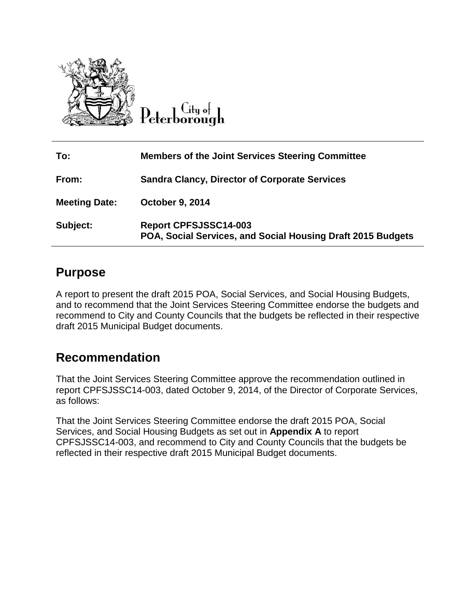

Citu of Peterborough

| To:                  | <b>Members of the Joint Services Steering Committee</b>                                     |
|----------------------|---------------------------------------------------------------------------------------------|
| From:                | <b>Sandra Clancy, Director of Corporate Services</b>                                        |
| <b>Meeting Date:</b> | <b>October 9, 2014</b>                                                                      |
| Subject:             | <b>Report CPFSJSSC14-003</b><br>POA, Social Services, and Social Housing Draft 2015 Budgets |

# **Purpose**

A report to present the draft 2015 POA, Social Services, and Social Housing Budgets, and to recommend that the Joint Services Steering Committee endorse the budgets and recommend to City and County Councils that the budgets be reflected in their respective draft 2015 Municipal Budget documents.

## **Recommendation**

That the Joint Services Steering Committee approve the recommendation outlined in report CPFSJSSC14-003, dated October 9, 2014, of the Director of Corporate Services, as follows:

That the Joint Services Steering Committee endorse the draft 2015 POA, Social Services, and Social Housing Budgets as set out in **Appendix A** to report CPFSJSSC14-003, and recommend to City and County Councils that the budgets be reflected in their respective draft 2015 Municipal Budget documents.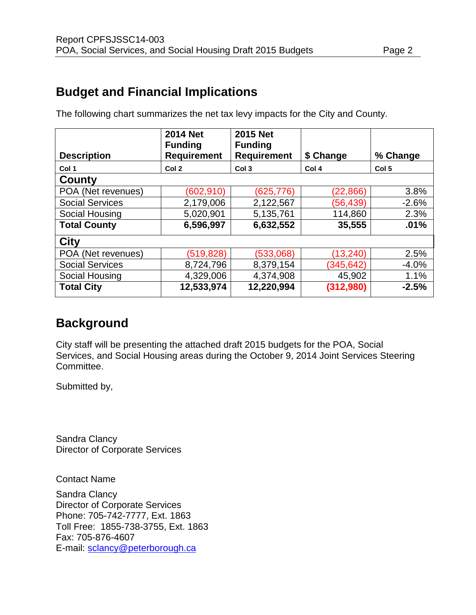# **Budget and Financial Implications**

| <b>Description</b>     | <b>2014 Net</b><br><b>Funding</b><br><b>Requirement</b> | <b>2015 Net</b><br><b>Funding</b><br><b>Requirement</b> | \$ Change | % Change         |
|------------------------|---------------------------------------------------------|---------------------------------------------------------|-----------|------------------|
| Col 1                  | Col 2                                                   | Col <sub>3</sub>                                        | Col 4     | Col <sub>5</sub> |
| County                 |                                                         |                                                         |           |                  |
| POA (Net revenues)     | (602, 910)                                              | (625,776)                                               | (22, 866) | 3.8%             |
| <b>Social Services</b> | 2,179,006                                               | 2,122,567                                               | (56,439)  | $-2.6%$          |
| Social Housing         | 5,020,901                                               | 5,135,761                                               | 114,860   | 2.3%             |
| <b>Total County</b>    | 6,596,997                                               | 6,632,552                                               | 35,555    | .01%             |
| City                   |                                                         |                                                         |           |                  |
| POA (Net revenues)     | (519, 828)                                              | (533,068)                                               | (13, 240) | 2.5%             |
| <b>Social Services</b> | 8,724,796                                               | 8,379,154                                               | (345,642) | $-4.0%$          |
| Social Housing         | 4,329,006                                               | 4,374,908                                               | 45,902    | 1.1%             |
| <b>Total City</b>      | 12,533,974                                              | 12,220,994                                              | (312,980) | $-2.5%$          |

The following chart summarizes the net tax levy impacts for the City and County.

# **Background**

City staff will be presenting the attached draft 2015 budgets for the POA, Social Services, and Social Housing areas during the October 9, 2014 Joint Services Steering Committee.

Submitted by,

Sandra Clancy Director of Corporate Services

Contact Name

Sandra Clancy Director of Corporate Services Phone: 705-742-7777, Ext. 1863 Toll Free: 1855-738-3755, Ext. 1863 Fax: 705-876-4607 E-mail: [sclancy@peterborough.ca](mailto:sclancy@peterborough.ca)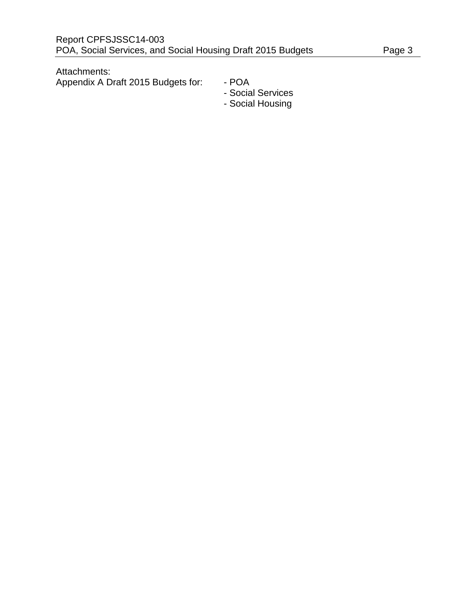Attachments:

Appendix A Draft 2015 Budgets for: - POA

- 
- Social Services
- Social Housing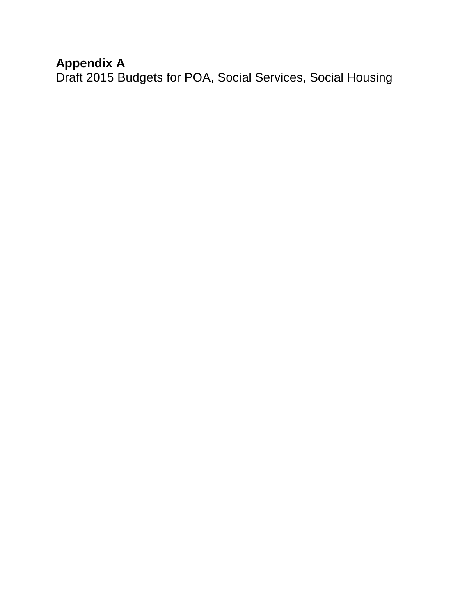# **Appendix A**

Draft 2015 Budgets for POA, Social Services, Social Housing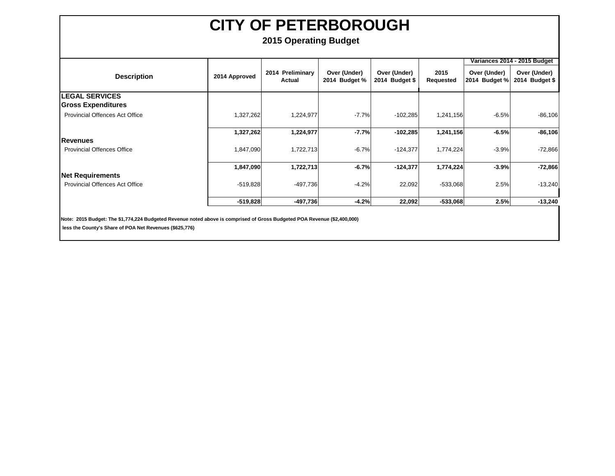### **2015 Operating Budget**

|                                       |               |                            |                               |                                |                   |                               | Variances 2014 - 2015 Budget   |
|---------------------------------------|---------------|----------------------------|-------------------------------|--------------------------------|-------------------|-------------------------------|--------------------------------|
| <b>Description</b>                    | 2014 Approved | 2014 Preliminary<br>Actual | Over (Under)<br>2014 Budget % | Over (Under)<br>2014 Budget \$ | 2015<br>Requested | Over (Under)<br>2014 Budget % | Over (Under)<br>2014 Budget \$ |
| <b>ILEGAL SERVICES</b>                |               |                            |                               |                                |                   |                               |                                |
| <b>Gross Expenditures</b>             |               |                            |                               |                                |                   |                               |                                |
| Provincial Offences Act Office        | 1,327,262     | 1,224,977                  | $-7.7%$                       | $-102,285$                     | 1,241,156         | $-6.5%$                       | $-86,106$                      |
|                                       | 1,327,262     | 1,224,977                  | $-7.7%$                       | $-102,285$                     | 1,241,156         | $-6.5%$                       | $-86,106$                      |
| <b>Revenues</b>                       |               |                            |                               |                                |                   |                               |                                |
| <b>Provincial Offences Office</b>     | 1,847,090     | 1,722,713                  | $-6.7%$                       | $-124,377$                     | 1,774,224         | $-3.9%$                       | $-72,866$                      |
|                                       | 1,847,090     | 1,722,713                  | $-6.7%$                       | $-124,377$                     | 1,774,224         | $-3.9%$                       | $-72,866$                      |
| Net Requirements                      |               |                            |                               |                                |                   |                               |                                |
| <b>Provincial Offences Act Office</b> | $-519,828$    | $-497,736$                 | $-4.2%$                       | 22,092                         | $-533,068$        | 2.5%                          | $-13,240$                      |
|                                       | $-519,828$    | $-497,736$                 | $-4.2%$                       | 22,092                         | $-533,068$        | 2.5%                          | $-13,240$                      |

**Note: 2015 Budget: The \$1,774,224 Budgeted Revenue noted above is comprised of Gross Budgeted POA Revenue (\$2,400,000)**

 **less the County's Share of POA Net Revenues (\$625,776)**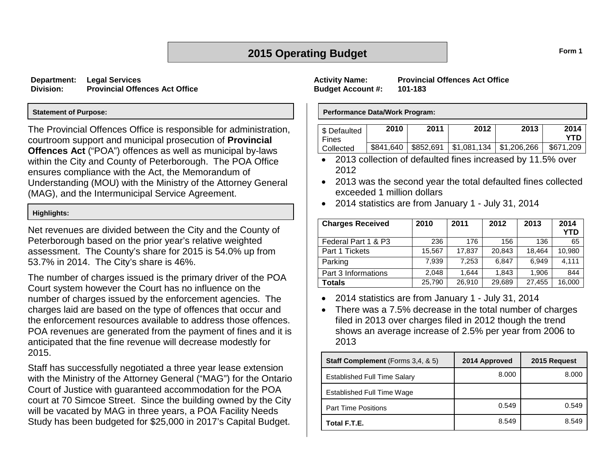## **2015 Operating Budget Form 1**

**Department: Legal Services Division: Provincial Offences Act Office**

#### **Statement of Purpose:**

The Provincial Offences Office is responsible for administration, courtroom support and municipal prosecution of **Provincial Offences Act** ("POA") offences as well as municipal by-laws within the City and County of Peterborough. The POA Office ensures compliance with the Act, the Memorandum of Understanding (MOU) with the Ministry of the Attorney General (MAG), and the Intermunicipal Service Agreement.

#### **Highlights:**

Net revenues are divided between the City and the County of Peterborough based on the prior year's relative weighted assessment. The County's share for 2015 is 54.0% up from 53.7% in 2014. The City's share is 46%.

The number of charges issued is the primary driver of the POA Court system however the Court has no influence on the number of charges issued by the enforcement agencies. The charges laid are based on the type of offences that occur and the enforcement resources available to address those offences. POA revenues are generated from the payment of fines and it is anticipated that the fine revenue will decrease modestly for 2015.

Staff has successfully negotiated a three year lease extension with the Ministry of the Attorney General ("MAG") for the Ontario Court of Justice with guaranteed accommodation for the POA court at 70 Simcoe Street. Since the building owned by the City will be vacated by MAG in three years, a POA Facility Needs Study has been budgeted for \$25,000 in 2017's Capital Budget.

**Budget Account #: 101-183**

**Activity Name: Provincial Offences Act Office**

#### **Performance Data/Work Program:**

| S Defaulted<br>Fines | 2010 | 2011                  | 2012 | 2013 | 2014<br>YTN |
|----------------------|------|-----------------------|------|------|-------------|
| Collected            |      | \$841,640   \$852,691 |      |      | \$671,209   |

- 2013 collection of defaulted fines increased by 11.5% over 2012
- 2013 was the second year the total defaulted fines collected exceeded 1 million dollars
- 2014 statistics are from January 1 July 31, 2014

| <b>Charges Received</b> | 2010   | 2011   | 2012   | 2013   | 2014<br><b>YTD</b> |
|-------------------------|--------|--------|--------|--------|--------------------|
| Federal Part 1 & P3     | 236    | 176    | 156    | 136    | 65                 |
| Part 1 Tickets          | 15,567 | 17,837 | 20.843 | 18.464 | 10,980             |
| Parking                 | 7,939  | 7.253  | 6.847  | 6.949  | 4.111              |
| Part 3 Informations     | 2.048  | 1.644  | 1.843  | 1.906  | 844                |
| Totals                  | 25,790 | 26,910 | 29,689 | 27.455 | 16,000             |

- 2014 statistics are from January 1 July 31, 2014
- There was a 7.5% decrease in the total number of charges filed in 2013 over charges filed in 2012 though the trend shows an average increase of 2.5% per year from 2006 to 2013

| <b>Staff Complement</b> (Forms 3,4, & 5) | 2014 Approved | 2015 Request |
|------------------------------------------|---------------|--------------|
| <b>Established Full Time Salary</b>      | 8.000         | 8.000        |
| Established Full Time Wage               |               |              |
| <b>Part Time Positions</b>               | 0.549         | 0.549        |
| Total F.T.E.                             | 8.549         | 8.549        |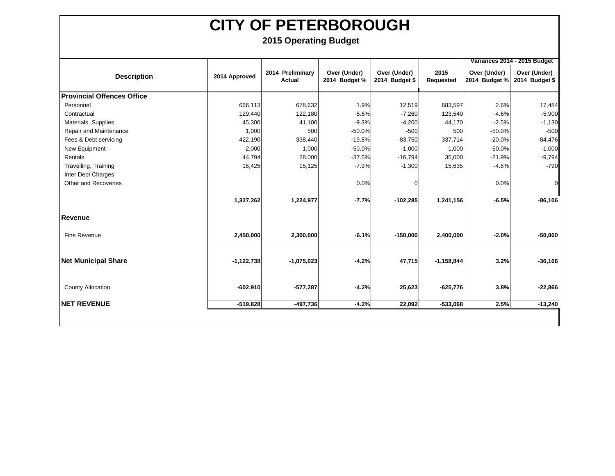|                                   |               |                            |                               |                                |                   |                               | Variances 2014 - 2015 Budget   |
|-----------------------------------|---------------|----------------------------|-------------------------------|--------------------------------|-------------------|-------------------------------|--------------------------------|
| <b>Description</b>                | 2014 Approved | 2014 Preliminary<br>Actual | Over (Under)<br>2014 Budget % | Over (Under)<br>2014 Budget \$ | 2015<br>Requested | Over (Under)<br>2014 Budget % | Over (Under)<br>2014 Budget \$ |
| <b>Provincial Offences Office</b> |               |                            |                               |                                |                   |                               |                                |
| Personnel                         | 666,113       | 678,632                    | 1.9%                          | 12,519                         | 683,597           | 2.6%                          | 17,484                         |
| Contractual                       | 129,440       | 122,180                    | $-5.6%$                       | $-7,260$                       | 123,540           | $-4.6%$                       | $-5,900$                       |
| Materials, Supplies               | 45,300        | 41,100                     | $-9.3%$                       | $-4,200$                       | 44,170            | $-2.5%$                       | $-1,130$                       |
| Repair and Maintenance            | 1,000         | 500                        | $-50.0%$                      | $-500$                         | 500               | $-50.0%$                      | $-500$                         |
| Fees & Debt servicing             | 422,190       | 338,440                    | $-19.8%$                      | $-83,750$                      | 337,714           | $-20.0%$                      | $-84,476$                      |
| New Equipment                     | 2,000         | 1,000                      | $-50.0%$                      | $-1,000$                       | 1,000             | $-50.0%$                      | $-1,000$                       |
| Rentals                           | 44,794        | 28,000                     | $-37.5%$                      | $-16,794$                      | 35,000            | $-21.9%$                      | $-9,794$                       |
| Travelling, Training              | 16,425        | 15,125                     | $-7.9%$                       | $-1,300$                       | 15,635            | $-4.8%$                       | $-790$                         |
| Inter Dept Charges                |               |                            |                               |                                |                   |                               |                                |
| Other and Recoveries              |               |                            | 0.0%                          | $\Omega$                       |                   | 0.0%                          | $\overline{0}$                 |
|                                   |               |                            |                               |                                |                   |                               |                                |
|                                   | 1,327,262     | 1,224,977                  | $-7.7%$                       | $-102,285$                     | 1,241,156         | $-6.5%$                       | $-86,106$                      |
| Revenue                           |               |                            |                               |                                |                   |                               |                                |
| Fine Revenue                      | 2,450,000     | 2,300,000                  | $-6.1%$                       | $-150,000$                     | 2,400,000         | $-2.0%$                       | $-50,000$                      |
| <b>Net Municipal Share</b>        | $-1,122,738$  | $-1,075,023$               | $-4.2%$                       | 47,715                         | $-1,158,844$      | 3.2%                          | $-36,106$                      |
| <b>County Allocation</b>          | $-602,910$    | $-577,287$                 | $-4.2%$                       | 25,623                         | $-625,776$        | 3.8%                          | $-22,866$                      |
| <b>INET REVENUE</b>               | $-519,828$    | $-497,736$                 | $-4.2%$                       | 22,092                         | $-533,068$        | 2.5%                          | $-13,240$                      |
|                                   |               |                            |                               |                                |                   |                               |                                |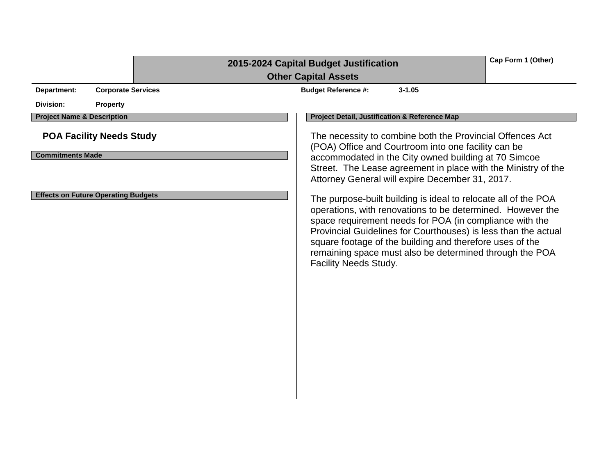|                                                                          | Cap Form 1 (Other)<br>2015-2024 Capital Budget Justification<br><b>Other Capital Assets</b>                                                                                                                                                                                                                                                                                                               |  |
|--------------------------------------------------------------------------|-----------------------------------------------------------------------------------------------------------------------------------------------------------------------------------------------------------------------------------------------------------------------------------------------------------------------------------------------------------------------------------------------------------|--|
| Department:<br><b>Corporate Services</b><br>Division:<br><b>Property</b> | <b>Budget Reference #:</b><br>$3 - 1.05$                                                                                                                                                                                                                                                                                                                                                                  |  |
| <b>Project Name &amp; Description</b>                                    | Project Detail, Justification & Reference Map                                                                                                                                                                                                                                                                                                                                                             |  |
| <b>POA Facility Needs Study</b><br><b>Commitments Made</b>               | The necessity to combine both the Provincial Offences Act<br>(POA) Office and Courtroom into one facility can be<br>accommodated in the City owned building at 70 Simcoe<br>Street. The Lease agreement in place with the Ministry of the<br>Attorney General will expire December 31, 2017.                                                                                                              |  |
| <b>Effects on Future Operating Budgets</b>                               | The purpose-built building is ideal to relocate all of the POA<br>operations, with renovations to be determined. However the<br>space requirement needs for POA (in compliance with the<br>Provincial Guidelines for Courthouses) is less than the actual<br>square footage of the building and therefore uses of the<br>remaining space must also be determined through the POA<br>Facility Needs Study. |  |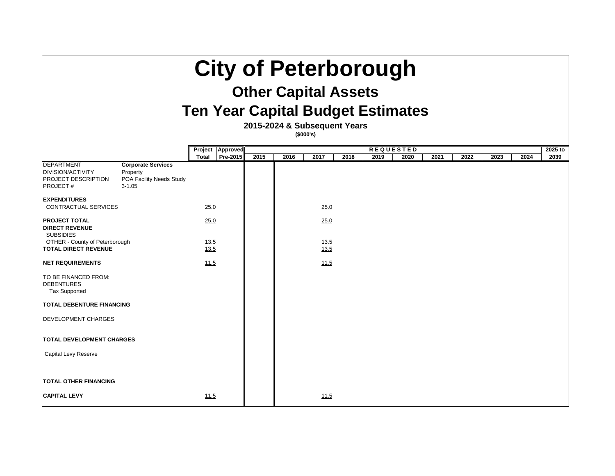# **City of Peterborough**

# **Other Capital Assets**

# **Ten Year Capital Budget Estimate**

**2015-2024 & Subsequent Years**

**(\$000's)**

|                                                                                                |                                                                                 |                      | Project   Approved | <b>REQUESTED</b> |      |              |      |      |      | 2025 to |      |      |      |      |
|------------------------------------------------------------------------------------------------|---------------------------------------------------------------------------------|----------------------|--------------------|------------------|------|--------------|------|------|------|---------|------|------|------|------|
|                                                                                                |                                                                                 | <b>Total</b>         | <b>Pre-2015</b>    | 2015             | 2016 | 2017         | 2018 | 2019 | 2020 | 2021    | 2022 | 2023 | 2024 | 2039 |
| <b>DEPARTMENT</b><br><b>DIVISION/ACTIVITY</b><br><b>PROJECT DESCRIPTION</b><br><b>PROJECT#</b> | <b>Corporate Services</b><br>Property<br>POA Facility Needs Study<br>$3 - 1.05$ |                      |                    |                  |      |              |      |      |      |         |      |      |      |      |
| <b>EXPENDITURES</b>                                                                            |                                                                                 |                      |                    |                  |      |              |      |      |      |         |      |      |      |      |
| <b>CONTRACTUAL SERVICES</b>                                                                    |                                                                                 | 25.0                 |                    |                  |      | 25.0         |      |      |      |         |      |      |      |      |
| <b>PROJECT TOTAL</b><br><b>DIRECT REVENUE</b><br><b>SUBSIDIES</b>                              |                                                                                 | <u>25.0</u>          |                    |                  |      | 25.0         |      |      |      |         |      |      |      |      |
| <b>OTHER - County of Peterborough</b><br><b>TOTAL DIRECT REVENUE</b>                           |                                                                                 | 13.5<br><u> 13.5</u> |                    |                  |      | 13.5<br>13.5 |      |      |      |         |      |      |      |      |
| <b>NET REQUIREMENTS</b>                                                                        |                                                                                 | 11.5                 |                    |                  |      | 11.5         |      |      |      |         |      |      |      |      |
| TO BE FINANCED FROM:<br><b>DEBENTURES</b><br><b>Tax Supported</b>                              |                                                                                 |                      |                    |                  |      |              |      |      |      |         |      |      |      |      |
| <b>TOTAL DEBENTURE FINANCING</b>                                                               |                                                                                 |                      |                    |                  |      |              |      |      |      |         |      |      |      |      |
| <b>DEVELOPMENT CHARGES</b>                                                                     |                                                                                 |                      |                    |                  |      |              |      |      |      |         |      |      |      |      |
| <b>TOTAL DEVELOPMENT CHARGES</b>                                                               |                                                                                 |                      |                    |                  |      |              |      |      |      |         |      |      |      |      |
| <b>Capital Levy Reserve</b>                                                                    |                                                                                 |                      |                    |                  |      |              |      |      |      |         |      |      |      |      |
|                                                                                                |                                                                                 |                      |                    |                  |      |              |      |      |      |         |      |      |      |      |
| <b>TOTAL OTHER FINANCING</b>                                                                   |                                                                                 |                      |                    |                  |      |              |      |      |      |         |      |      |      |      |
| <b>CAPITAL LEVY</b>                                                                            |                                                                                 | <u> 11.5</u>         |                    |                  |      | <u>11.5</u>  |      |      |      |         |      |      |      |      |

| <b>S</b> |      |      |      |                 |
|----------|------|------|------|-----------------|
| 2021     | 2022 | 2023 | 2024 | 2025 to<br>2039 |
|          |      |      |      |                 |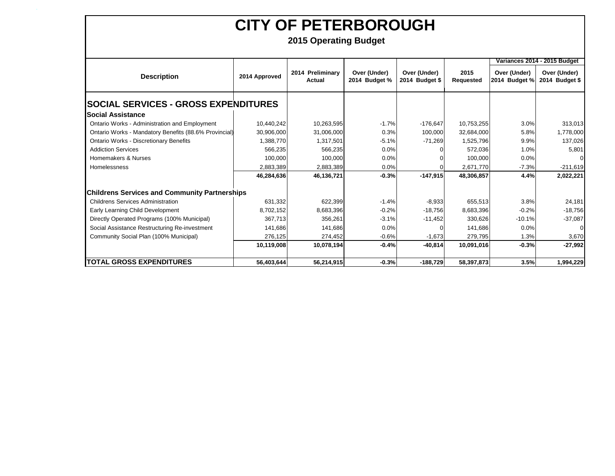**`**

|                                                       |               |                            |                               |                                |                   |                               | Variances 2014 - 2015 Budget   |
|-------------------------------------------------------|---------------|----------------------------|-------------------------------|--------------------------------|-------------------|-------------------------------|--------------------------------|
| <b>Description</b>                                    | 2014 Approved | 2014 Preliminary<br>Actual | Over (Under)<br>2014 Budget % | Over (Under)<br>2014 Budget \$ | 2015<br>Requested | Over (Under)<br>2014 Budget % | Over (Under)<br>2014 Budget \$ |
| <b>SOCIAL SERVICES - GROSS EXPENDITURES</b>           |               |                            |                               |                                |                   |                               |                                |
| <b>Social Assistance</b>                              |               |                            |                               |                                |                   |                               |                                |
| Ontario Works - Administration and Employment         | 10,440,242    | 10,263,595                 | $-1.7%$                       | $-176,647$                     | 10,753,255        | 3.0%                          | 313,013                        |
| Ontario Works - Mandatory Benefits (88.6% Provincial) | 30,906,000    | 31,006,000                 | 0.3%                          | 100,000                        | 32,684,000        | 5.8%                          | 1,778,000                      |
| <b>Ontario Works - Discretionary Benefits</b>         | 1,388,770     | 1,317,501                  | $-5.1%$                       | $-71,269$                      | 1,525,796         | 9.9%                          | 137,026                        |
| <b>Addiction Services</b>                             | 566,235       | 566,235                    | 0.0%                          |                                | 572,036           | 1.0%                          | 5,801                          |
| Homemakers & Nurses                                   | 100,000       | 100,000                    | 0.0%                          |                                | 100,000           | 0.0%                          |                                |
| Homelessness                                          | 2,883,389     | 2,883,389                  | 0.0%                          |                                | 2,671,770         | $-7.3%$                       | $-211,619$                     |
|                                                       | 46,284,636    | 46,136,721                 | $-0.3%$                       | $-147,915$                     | 48,306,857        | 4.4%                          | 2,022,221                      |
| <b>Childrens Services and Community Partnerships</b>  |               |                            |                               |                                |                   |                               |                                |
| <b>Childrens Services Administration</b>              | 631,332       | 622,399                    | $-1.4%$                       | $-8,933$                       | 655,513           | 3.8%                          | 24,181                         |
| Early Learning Child Development                      | 8,702,152     | 8,683,396                  | $-0.2%$                       | $-18,756$                      | 8,683,396         | $-0.2%$                       | $-18,756$                      |
| Directly Operated Programs (100% Municipal)           | 367,713       | 356,261                    | $-3.1%$                       | $-11,452$                      | 330,626           | $-10.1%$                      | $-37,087$                      |
| Social Assistance Restructuring Re-investment         | 141,686       | 141,686                    | 0.0%                          |                                | 141,686           | 0.0%                          |                                |
| Community Social Plan (100% Municipal)                | 276,125       | 274,452                    | $-0.6%$                       | $-1,673$                       | 279,795           | 1.3%                          | 3,670                          |
|                                                       | 10,119,008    | 10.078,194                 | $-0.4%$                       | $-40,814$                      | 10.091,016        | $-0.3%$                       | $-27,992$                      |
| <b>TOTAL GROSS EXPENDITURES</b>                       | 56,403,644    | 56,214,915                 | $-0.3%$                       | $-188,729$                     | 58,397,873        | 3.5%                          | 1,994,229                      |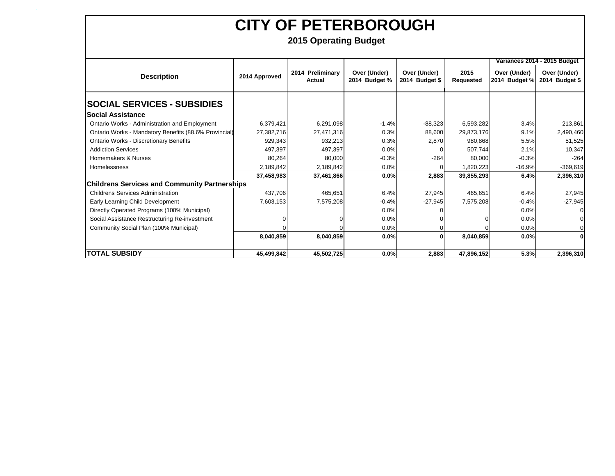**`**

|                                                       |               |                            |                               |                                |                   |                               | Variances 2014 - 2015 Budget   |
|-------------------------------------------------------|---------------|----------------------------|-------------------------------|--------------------------------|-------------------|-------------------------------|--------------------------------|
| <b>Description</b>                                    | 2014 Approved | 2014 Preliminary<br>Actual | Over (Under)<br>2014 Budget % | Over (Under)<br>2014 Budget \$ | 2015<br>Requested | Over (Under)<br>2014 Budget % | Over (Under)<br>2014 Budget \$ |
| <b> SOCIAL SERVICES - SUBSIDIES</b>                   |               |                            |                               |                                |                   |                               |                                |
| lSocial Assistance                                    |               |                            |                               |                                |                   |                               |                                |
| <b>Ontario Works - Administration and Employment</b>  | 6,379,421     | 6,291,098                  | $-1.4%$                       | $-88,323$                      | 6,593,282         | 3.4%                          | 213,861                        |
| Ontario Works - Mandatory Benefits (88.6% Provincial) | 27,382,716    | 27,471,316                 | 0.3%                          | 88,600                         | 29,873,176        | 9.1%                          | 2,490,460                      |
| <b>Ontario Works - Discretionary Benefits</b>         | 929,343       | 932,213                    | 0.3%                          | 2,870                          | 980,868           | 5.5%                          | 51,525                         |
| <b>Addiction Services</b>                             | 497.397       | 497.397                    | 0.0%                          | 0                              | 507,744           | 2.1%                          | 10,347                         |
| Homemakers & Nurses                                   | 80,264        | 80,000                     | $-0.3%$                       | $-264$                         | 80,000            | $-0.3%$                       | $-264$                         |
| <b>Homelessness</b>                                   | 2,189,842     | 2,189,842                  | 0.0%                          |                                | 1,820,223         | $-16.9%$                      | $-369,619$                     |
|                                                       | 37,458,983    | 37,461,866                 | 0.0%                          | 2,883                          | 39,855,293        | 6.4%                          | 2,396,310                      |
| <b>Childrens Services and Community Partnerships</b>  |               |                            |                               |                                |                   |                               |                                |
| <b>Childrens Services Administration</b>              | 437.706       | 465,651                    | 6.4%                          | 27,945                         | 465.651           | 6.4%                          | 27,945                         |
| Early Learning Child Development                      | 7,603,153     | 7,575,208                  | $-0.4%$                       | $-27,945$                      | 7,575,208         | $-0.4%$                       | $-27,945$                      |
| Directly Operated Programs (100% Municipal)           |               |                            | 0.0%                          |                                |                   | 0.0%                          |                                |
| Social Assistance Restructuring Re-investment         |               |                            | 0.0%                          |                                |                   | 0.0%                          |                                |
| Community Social Plan (100% Municipal)                |               |                            | 0.0%                          |                                |                   | 0.0%                          |                                |
|                                                       | 8,040,859     | 8,040,859                  | 0.0%                          | 0                              | 8,040,859         | 0.0%                          |                                |
| <b>TOTAL SUBSIDY</b>                                  | 45,499,842    | 45,502,725                 | 0.0%                          | 2,883                          | 47,896,152        | 5.3%                          | 2,396,310                      |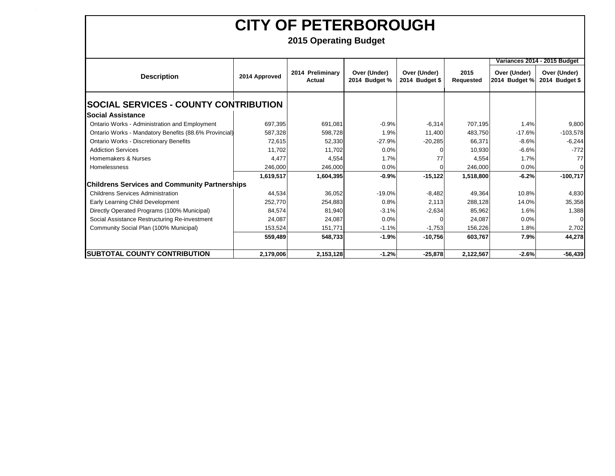**`**

|                                                       |               |                            |                               |                                |                          |                               | Variances 2014 - 2015 Budget   |
|-------------------------------------------------------|---------------|----------------------------|-------------------------------|--------------------------------|--------------------------|-------------------------------|--------------------------------|
| <b>Description</b>                                    | 2014 Approved | 2014 Preliminary<br>Actual | Over (Under)<br>2014 Budget % | Over (Under)<br>2014 Budget \$ | 2015<br><b>Requested</b> | Over (Under)<br>2014 Budget % | Over (Under)<br>2014 Budget \$ |
| <b>SOCIAL SERVICES - COUNTY CONTRIBUTION</b>          |               |                            |                               |                                |                          |                               |                                |
| <b>Social Assistance</b>                              |               |                            |                               |                                |                          |                               |                                |
| Ontario Works - Administration and Employment         | 697,395       | 691,081                    | $-0.9%$                       | $-6,314$                       | 707,195                  | 1.4%                          | 9,800                          |
| Ontario Works - Mandatory Benefits (88.6% Provincial) | 587,328       | 598,728                    | 1.9%                          | 11,400                         | 483,750                  | $-17.6%$                      | $-103,578$                     |
| <b>Ontario Works - Discretionary Benefits</b>         | 72,615        | 52,330                     | $-27.9%$                      | $-20,285$                      | 66,371                   | $-8.6%$                       | $-6,244$                       |
| <b>Addiction Services</b>                             | 11,702        | 11,702                     | 0.0%                          |                                | 10,930                   | $-6.6%$                       | $-772$                         |
| Homemakers & Nurses                                   | 4,477         | 4,554                      | 1.7%                          | 77                             | 4,554                    | 1.7%                          | 77                             |
| <b>Homelessness</b>                                   | 246,000       | 246,000                    | 0.0%                          |                                | 246,000                  | 0.0%                          |                                |
|                                                       | 1,619,517     | 1,604,395                  | $-0.9%$                       | $-15,122$                      | 1,518,800                | $-6.2%$                       | $-100,717$                     |
| <b>Childrens Services and Community Partnerships</b>  |               |                            |                               |                                |                          |                               |                                |
| <b>Childrens Services Administration</b>              | 44,534        | 36,052                     | $-19.0%$                      | $-8,482$                       | 49,364                   | 10.8%                         | 4,830                          |
| Early Learning Child Development                      | 252,770       | 254,883                    | 0.8%                          | 2,113                          | 288,128                  | 14.0%                         | 35,358                         |
| Directly Operated Programs (100% Municipal)           | 84,574        | 81,940                     | $-3.1%$                       | $-2,634$                       | 85,962                   | 1.6%                          | 1,388                          |
| Social Assistance Restructuring Re-investment         | 24,087        | 24,087                     | 0.0%                          |                                | 24,087                   | 0.0%                          | $\Omega$                       |
| Community Social Plan (100% Municipal)                | 153,524       | 151,771                    | $-1.1%$                       | $-1,753$                       | 156,226                  | 1.8%                          | 2,702                          |
|                                                       | 559,489       | 548,733                    | $-1.9%$                       | $-10,756$                      | 603,767                  | 7.9%                          | 44,278                         |
| <b>SUBTOTAL COUNTY CONTRIBUTION</b>                   | 2,179,006     | 2,153,128                  | $-1.2%$                       | $-25,878$                      | 2,122,567                | $-2.6%$                       | $-56,439$                      |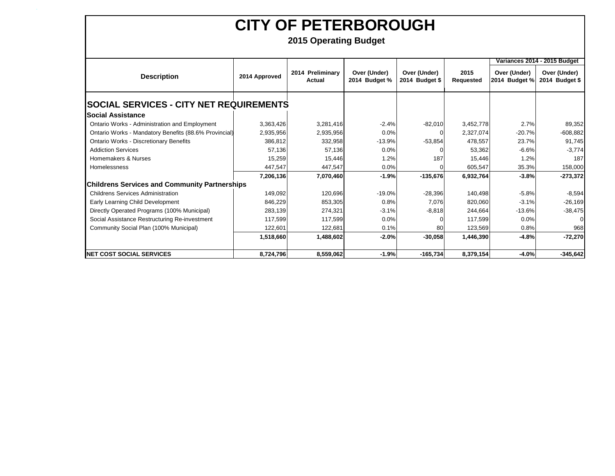**`**

|                                                       |               |                            |                               |                                |                          |                               | Variances 2014 - 2015 Budget   |
|-------------------------------------------------------|---------------|----------------------------|-------------------------------|--------------------------------|--------------------------|-------------------------------|--------------------------------|
| <b>Description</b>                                    | 2014 Approved | 2014 Preliminary<br>Actual | Over (Under)<br>2014 Budget % | Over (Under)<br>2014 Budget \$ | 2015<br><b>Requested</b> | Over (Under)<br>2014 Budget % | Over (Under)<br>2014 Budget \$ |
| <b>SOCIAL SERVICES - CITY NET REQUIREMENTS</b>        |               |                            |                               |                                |                          |                               |                                |
| <b>Social Assistance</b>                              |               |                            |                               |                                |                          |                               |                                |
| Ontario Works - Administration and Employment         | 3,363,426     | 3,281,416                  | $-2.4%$                       | $-82,010$                      | 3,452,778                | 2.7%                          | 89,352                         |
| Ontario Works - Mandatory Benefits (88.6% Provincial) | 2,935,956     | 2,935,956                  | 0.0%                          |                                | 2,327,074                | $-20.7%$                      | $-608,882$                     |
| <b>Ontario Works - Discretionary Benefits</b>         | 386,812       | 332,958                    | $-13.9%$                      | $-53,854$                      | 478,557                  | 23.7%                         | 91,745                         |
| <b>Addiction Services</b>                             | 57,136        | 57,136                     | 0.0%                          |                                | 53,362                   | $-6.6%$                       | $-3,774$                       |
| Homemakers & Nurses                                   | 15,259        | 15,446                     | 1.2%                          | 187                            | 15,446                   | 1.2%                          | 187                            |
| Homelessness                                          | 447,547       | 447,547                    | 0.0%                          |                                | 605,547                  | 35.3%                         | 158,000                        |
|                                                       | 7,206,136     | 7,070,460                  | $-1.9%$                       | $-135,676$                     | 6,932,764                | $-3.8%$                       | $-273,372$                     |
| <b>Childrens Services and Community Partnerships</b>  |               |                            |                               |                                |                          |                               |                                |
| <b>Childrens Services Administration</b>              | 149,092       | 120,696                    | $-19.0%$                      | $-28,396$                      | 140,498                  | $-5.8%$                       | $-8,594$                       |
| Early Learning Child Development                      | 846,229       | 853,305                    | 0.8%                          | 7,076                          | 820,060                  | $-3.1%$                       | $-26,169$                      |
| Directly Operated Programs (100% Municipal)           | 283,139       | 274,321                    | $-3.1%$                       | $-8,818$                       | 244,664                  | $-13.6%$                      | $-38,475$                      |
| Social Assistance Restructuring Re-investment         | 117,599       | 117,599                    | 0.0%                          |                                | 117,599                  | 0.0%                          | $\Omega$                       |
| Community Social Plan (100% Municipal)                | 122,601       | 122,681                    | 0.1%                          | 80                             | 123,569                  | 0.8%                          | 968                            |
|                                                       | 1,518,660     | 1,488,602                  | $-2.0%$                       | $-30,058$                      | 1,446,390                | $-4.8%$                       | $-72,270$                      |
| <b>NET COST SOCIAL SERVICES</b>                       | 8,724,796     | 8,559,062                  | $-1.9%$                       | $-165,734$                     | 8,379,154                | $-4.0%$                       | $-345,642$                     |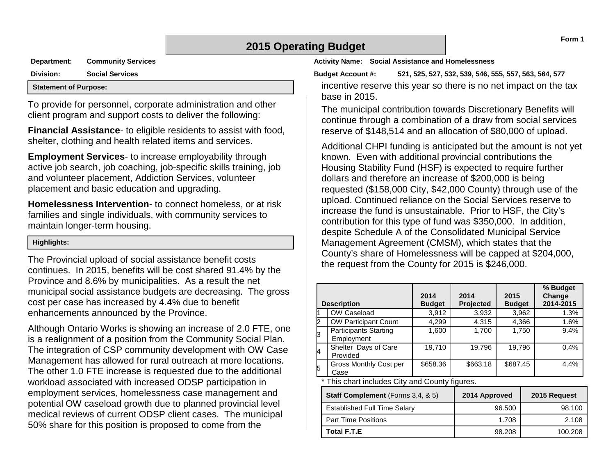## **2015 Operating Budget**

**Department: Community Services**

**Division: Social Services Statement of Purpose:**

To provide for personnel, corporate administration and other client program and support costs to deliver the following:

**Financial Assistance**- to eligible residents to assist with food, shelter, clothing and health related items and services.

**Employment Services**- to increase employability through active job search, job coaching, job-specific skills training, job and volunteer placement, Addiction Services, volunteer placement and basic education and upgrading.

**Homelessness Intervention**- to connect homeless, or at risk families and single individuals, with community services to maintain longer-term housing.

#### **Highlights:**

The Provincial upload of social assistance benefit costs continues. In 2015, benefits will be cost shared 91.4% by the Province and 8.6% by municipalities. As a result the net municipal social assistance budgets are decreasing. The gross cost per case has increased by 4.4% due to benefit enhancements announced by the Province.

Although Ontario Works is showing an increase of 2.0 FTE, one is a realignment of a position from the Community Social Plan. The integration of CSP community development with OW Case Management has allowed for rural outreach at more locations. The other 1.0 FTE increase is requested due to the additional workload associated with increased ODSP participation in employment services, homelessness case management and potential OW caseload growth due to planned provincial level medical reviews of current ODSP client cases. The municipal 50% share for this position is proposed to come from the

**Activity Name: Social Assistance and Homelessness**

**Budget Account #: 521, 525, 527, 532, 539, 546, 555, 557, 563, 564, 577**

incentive reserve this year so there is no net impact on the tax base in 2015.

The municipal contribution towards Discretionary Benefits will continue through a combination of a draw from social services reserve of \$148,514 and an allocation of \$80,000 of upload.

Additional CHPI funding is anticipated but the amount is not yet known. Even with additional provincial contributions the Housing Stability Fund (HSF) is expected to require further dollars and therefore an increase of \$200,000 is being requested (\$158,000 City, \$42,000 County) through use of the upload. Continued reliance on the Social Services reserve to increase the fund is unsustainable. Prior to HSF, the City's contribution for this type of fund was \$350,000. In addition, despite Schedule A of the Consolidated Municipal Service Management Agreement (CMSM), which states that the County's share of Homelessness will be capped at \$204,000, the request from the County for 2015 is \$246,000.

|          | <b>Description</b>                             | 2014<br><b>Budget</b> | 2014<br>Projected | 2015<br><b>Budget</b> | % Budget<br>Change<br>2014-2015 |
|----------|------------------------------------------------|-----------------------|-------------------|-----------------------|---------------------------------|
|          | OW Caseload                                    | 3,912                 | 3,932             | 3,962                 | 1.3%                            |
| Þ        | <b>OW Participant Count</b>                    | 4,299                 | 4,315             | 4,366                 | 1.6%                            |
| b        | <b>Participants Starting</b><br>Employment     | 1,600                 | 1,700             | 1,750                 | 9.4%                            |
| <b>l</b> | Shelter Days of Care<br>Provided               | 19,710                | 19,796            | 19,796                | 0.4%                            |
| 5        | <b>Gross Monthly Cost per</b><br>Case          | \$658.36              | \$663.18          | \$687.45              | 4.4%                            |
|          | * This chart includes City and County figures. |                       |                   |                       |                                 |

| Staff Complement (Forms 3,4, & 5)   | 2014 Approved | 2015 Request |
|-------------------------------------|---------------|--------------|
| <b>Established Full Time Salary</b> | 96.500        | 98.100       |
| <b>Part Time Positions</b>          | 1.708         | 2.108        |
| Total F.T.E                         | 98.208        | 100.208      |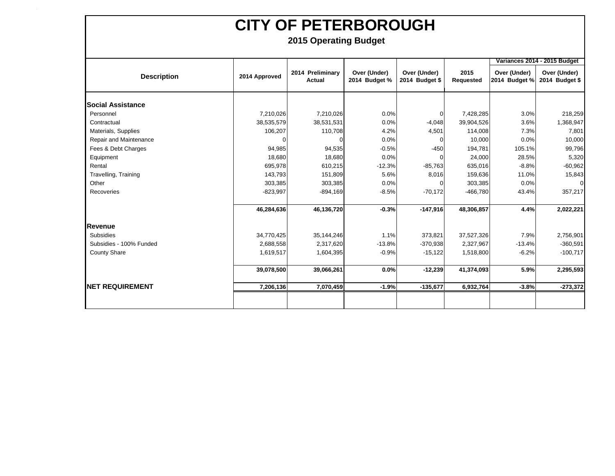**`**

|                          |               |                                   |                               |                                |                   |                               | Variances 2014 - 2015 Budget   |
|--------------------------|---------------|-----------------------------------|-------------------------------|--------------------------------|-------------------|-------------------------------|--------------------------------|
| <b>Description</b>       | 2014 Approved | 2014 Preliminary<br><b>Actual</b> | Over (Under)<br>2014 Budget % | Over (Under)<br>2014 Budget \$ | 2015<br>Requested | Over (Under)<br>2014 Budget % | Over (Under)<br>2014 Budget \$ |
| <b>Social Assistance</b> |               |                                   |                               |                                |                   |                               |                                |
| Personnel                | 7,210,026     | 7,210,026                         | 0.0%                          |                                | 7,428,285         | 3.0%                          | 218,259                        |
| Contractual              | 38,535,579    | 38,531,531                        | 0.0%                          | $-4,048$                       | 39,904,526        | 3.6%                          | 1,368,947                      |
| Materials, Supplies      | 106,207       | 110,708                           | 4.2%                          | 4,501                          | 114,008           | 7.3%                          | 7,801                          |
| Repair and Maintenance   |               |                                   | 0.0%                          |                                | 10,000            | 0.0%                          | 10,000                         |
| Fees & Debt Charges      | 94,985        | 94,535                            | $-0.5%$                       | $-450$                         | 194,781           | 105.1%                        | 99,796                         |
| Equipment                | 18,680        | 18,680                            | 0.0%                          |                                | 24,000            | 28.5%                         | 5,320                          |
| Rental                   | 695,978       | 610,215                           | $-12.3%$                      | $-85,763$                      | 635,016           | $-8.8%$                       | $-60,962$                      |
| Travelling, Training     | 143,793       | 151,809                           | 5.6%                          | 8,016                          | 159,636           | 11.0%                         | 15,843                         |
| Other                    | 303,385       | 303,385                           | 0.0%                          |                                | 303,385           | 0.0%                          | $\Omega$                       |
| Recoveries               | $-823,997$    | $-894,169$                        | $-8.5%$                       | $-70,172$                      | $-466,780$        | 43.4%                         | 357,217                        |
|                          | 46,284,636    | 46,136,720                        | $-0.3%$                       | $-147,916$                     | 48,306,857        | 4.4%                          | 2,022,221                      |
| Revenue                  |               |                                   |                               |                                |                   |                               |                                |
| <b>Subsidies</b>         | 34,770,425    | 35,144,246                        | 1.1%                          | 373,821                        | 37,527,326        | 7.9%                          | 2,756,901                      |
| Subsidies - 100% Funded  | 2,688,558     | 2,317,620                         | $-13.8%$                      | $-370,938$                     | 2,327,967         | $-13.4%$                      | $-360,591$                     |
| <b>County Share</b>      | 1,619,517     | 1,604,395                         | $-0.9%$                       | $-15,122$                      | 1,518,800         | $-6.2%$                       | $-100,717$                     |
|                          | 39,078,500    | 39,066,261                        | 0.0%                          | $-12,239$                      | 41,374,093        | 5.9%                          | 2,295,593                      |
| <b>INET REQUIREMENT</b>  | 7,206,136     | 7,070,459                         | $-1.9%$                       | $-135,677$                     | 6,932,764         | $-3.8%$                       | $-273,372$                     |
|                          |               |                                   |                               |                                |                   |                               |                                |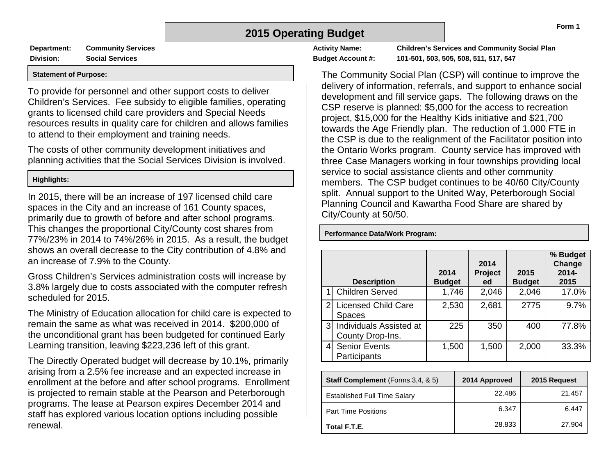## **2015 Operating Budget**

**Department: Community Services Division: Social Services**

#### **Statement of Purpose:**

To provide for personnel and other support costs to deliver Children's Services. Fee subsidy to eligible families, operating grants to licensed child care providers and Special Needs resources results in quality care for children and allows families to attend to their employment and training needs.

The costs of other community development initiatives and planning activities that the Social Services Division is involved.

#### **Highlights:**

In 2015, there will be an increase of 197 licensed child care spaces in the City and an increase of 161 County spaces, primarily due to growth of before and after school programs. This changes the proportional City/County cost shares from 77%/23% in 2014 to 74%/26% in 2015. As a result, the budget shows an overall decrease to the City contribution of 4.8% and an increase of 7.9% to the County.

Gross Children's Services administration costs will increase by 3.8% largely due to costs associated with the computer refresh scheduled for 2015.

The Ministry of Education allocation for child care is expected to remain the same as what was received in 2014. \$200,000 of the unconditional grant has been budgeted for continued Early Learning transition, leaving \$223,236 left of this grant.

The Directly Operated budget will decrease by 10.1%, primarily arising from a 2.5% fee increase and an expected increase in enrollment at the before and after school programs. Enrollment is projected to remain stable at the Pearson and Peterborough programs. The lease at Pearson expires December 2014 and staff has explored various location options including possible renewal.

**Performance Data/Work Program:**

**Activity Name: Children's Services and Community Social Plan Budget Account #: 101-501, 503, 505, 508, 511, 517, 547**

The Community Social Plan (CSP) will continue to improve the delivery of information, referrals, and support to enhance social development and fill service gaps. The following draws on the CSP reserve is planned: \$5,000 for the access to recreation project, \$15,000 for the Healthy Kids initiative and \$21,700 towards the Age Friendly plan. The reduction of 1.000 FTE in the CSP is due to the realignment of the Facilitator position into the Ontario Works program. County service has improved with three Case Managers working in four townships providing local service to social assistance clients and other community members. The CSP budget continues to be 40/60 City/County split. Annual support to the United Way, Peterborough Social Planning Council and Kawartha Food Share are shared by City/County at 50/50.

**Description 2014 Budget 2014 Project ed 2015 Budget % Budget Change 2014- 2015** Children Served 1,746 2,046 2,046 17.0% 2 Licensed Child Care **Spaces** 2,530 2,681 2775 9.7% Individuals Assisted at County Drop-Ins. 225 350 400 77.8% 4 Senior Events **Participants** 1,500 | 2,000 | 33.3%

| <b>Staff Complement</b> (Forms 3,4, & 5) | 2014 Approved | 2015 Request |
|------------------------------------------|---------------|--------------|
| <b>Established Full Time Salary</b>      | 22.486        | 21.457       |
| <b>Part Time Positions</b>               | 6.347         | 6.447        |
| Total F.T.E.                             | 28.833        | 27.904       |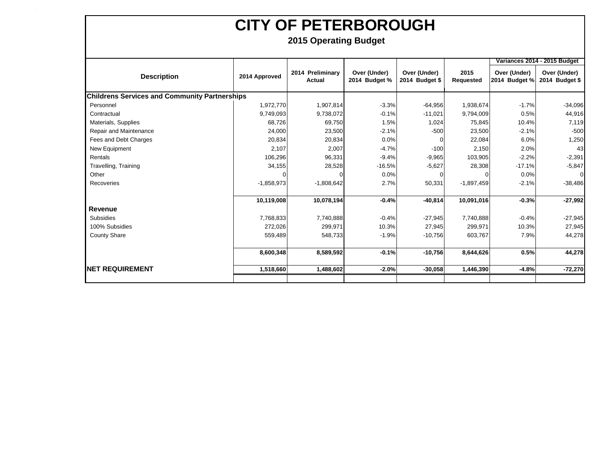**`**

|                                                      |                            |                                                                                                                                                            |                                |                   | Variances 2014 - 2015 Budget  |                                |  |
|------------------------------------------------------|----------------------------|------------------------------------------------------------------------------------------------------------------------------------------------------------|--------------------------------|-------------------|-------------------------------|--------------------------------|--|
| 2014 Approved                                        | 2014 Preliminary<br>Actual | Over (Under)<br>2014 Budget %                                                                                                                              | Over (Under)<br>2014 Budget \$ | 2015<br>Requested | Over (Under)<br>2014 Budget % | Over (Under)<br>2014 Budget \$ |  |
| <b>Childrens Services and Community Partnerships</b> |                            |                                                                                                                                                            |                                |                   |                               |                                |  |
|                                                      | 1,907,814                  | $-3.3%$                                                                                                                                                    | $-64,956$                      | 1,938,674         | $-1.7%$                       | $-34,096$                      |  |
|                                                      | 9,738,072                  | $-0.1%$                                                                                                                                                    | $-11,021$                      | 9,794,009         | 0.5%                          | 44,916                         |  |
|                                                      | 69,750                     | 1.5%                                                                                                                                                       | 1,024                          | 75,845            | 10.4%                         | 7,119                          |  |
|                                                      | 23,500                     | $-2.1%$                                                                                                                                                    | $-500$                         | 23,500            | $-2.1%$                       | $-500$                         |  |
| 20,834                                               | 20,834                     | 0.0%                                                                                                                                                       | $\Omega$                       | 22,084            | 6.0%                          | 1,250                          |  |
| 2,107                                                | 2,007                      | $-4.7%$                                                                                                                                                    | $-100$                         | 2,150             | 2.0%                          | 43                             |  |
|                                                      | 96,331                     | $-9.4%$                                                                                                                                                    | $-9,965$                       | 103,905           | $-2.2%$                       | $-2,391$                       |  |
|                                                      | 28,528                     | $-16.5%$                                                                                                                                                   | $-5,627$                       | 28,308            | $-17.1%$                      | $-5,847$                       |  |
|                                                      |                            | 0.0%                                                                                                                                                       | 0                              |                   | 0.0%                          | ∩                              |  |
|                                                      | $-1,808,642$               | 2.7%                                                                                                                                                       | 50,331                         |                   | $-2.1%$                       | $-38,486$                      |  |
|                                                      | 10,078,194                 | $-0.4%$                                                                                                                                                    | $-40,814$                      | 10,091,016        | $-0.3%$                       | $-27,992$                      |  |
|                                                      |                            |                                                                                                                                                            |                                |                   |                               |                                |  |
|                                                      | 7,740,888                  | $-0.4%$                                                                                                                                                    | $-27,945$                      | 7,740,888         | $-0.4%$                       | $-27,945$                      |  |
|                                                      | 299,971                    | 10.3%                                                                                                                                                      | 27,945                         | 299,971           | 10.3%                         | 27,945                         |  |
|                                                      | 548,733                    | $-1.9%$                                                                                                                                                    | $-10,756$                      | 603,767           | 7.9%                          | 44,278                         |  |
|                                                      | 8,589,592                  | $-0.1%$                                                                                                                                                    | $-10,756$                      | 8,644,626         | 0.5%                          | 44,278                         |  |
|                                                      |                            | $-2.0%$                                                                                                                                                    | $-30,058$                      |                   | $-4.8%$                       | $-72,270$                      |  |
|                                                      |                            | 1,972,770<br>9,749,093<br>68,726<br>24,000<br>106,296<br>34,155<br>$-1,858,973$<br>10,119,008<br>7,768,833<br>272,026<br>559,489<br>8,600,348<br>1,518,660 | 1,488,602                      |                   |                               | $-1,897,459$<br>1,446,390      |  |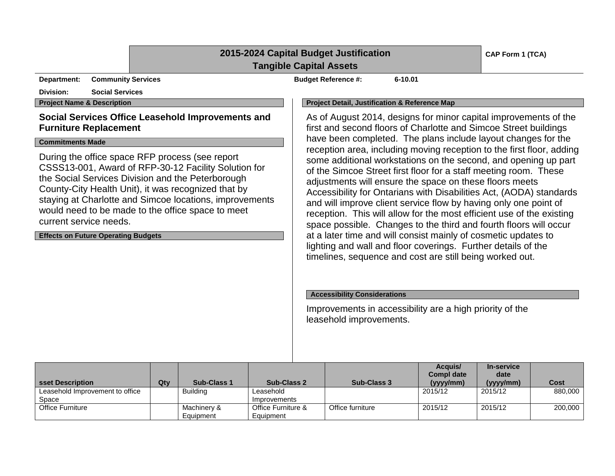## **2015-2024 Capital Budget Justification**

### **Tangible Capital Assets**

**Department:** Community Services **Budget Reference #:** 6-10.01

## **Division: Social Services**

#### **Social Services Office Leasehold Improvements and Furniture Replacement**

#### **Commitments Made**

During the office space RFP process (see report CSSS13-001, Award of RFP-30-12 Facility Solution for the Social Services Division and the Peterborough County-City Health Unit), it was recognized that by staying at Charlotte and Simcoe locations, improvements would need to be made to the office space to meet current service needs.

#### **Effects on Future Operating Budgets**

#### **Project Name & Description Project Detail, Justification & Reference Map**

As of August 2014, designs for minor capital improvements of the first and second floors of Charlotte and Simcoe Street buildings have been completed. The plans include layout changes for the reception area, including moving reception to the first floor, adding some additional workstations on the second, and opening up part of the Simcoe Street first floor for a staff meeting room. These adjustments will ensure the space on these floors meets Accessibility for Ontarians with Disabilities Act, (AODA) standards and will improve client service flow by having only one point of reception. This will allow for the most efficient use of the existing space possible. Changes to the third and fourth floors will occur at a later time and will consist mainly of cosmetic updates to lighting and wall and floor coverings. Further details of the timelines, sequence and cost are still being worked out.

#### **Accessibility Considerations**

Improvements in accessibility are a high priority of the leasehold improvements.

| sset Description                | Qty | <b>Sub-Class 1</b> | <b>Sub-Class 2</b> | <b>Sub-Class 3</b> | Acquis/<br><b>Compl date</b><br>(yyy/mm) | In-service<br>date<br>(yyyy/mm) | Cost    |
|---------------------------------|-----|--------------------|--------------------|--------------------|------------------------------------------|---------------------------------|---------|
| Leasehold Improvement to office |     | <b>Building</b>    | Leasehold          |                    | 2015/12                                  | 2015/12                         | 880,000 |
| Space                           |     |                    | Improvements       |                    |                                          |                                 |         |
| Office Furniture                |     | Machinery &        | Office Furniture & | Office furniture   | 2015/12                                  | 2015/12                         | 200.000 |
|                                 |     | Equipment          | Equipment          |                    |                                          |                                 |         |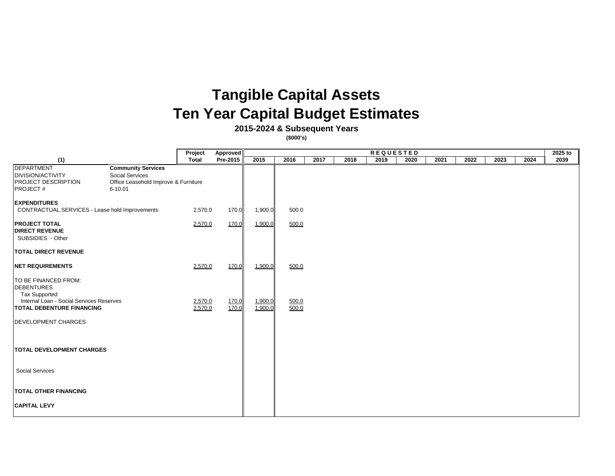# **Tangible Capital Assets Ten Year Capital Budget Estimates**

**2015-2024 & Subsequent Years**

**(\$000's)**

|                                                                                                                                                                                                          | Project            | Approved        | <b>REQUESTED</b>   |                |      |      |      |      | 2025 to |      |      |      |      |
|----------------------------------------------------------------------------------------------------------------------------------------------------------------------------------------------------------|--------------------|-----------------|--------------------|----------------|------|------|------|------|---------|------|------|------|------|
| (1)                                                                                                                                                                                                      | <b>Total</b>       | <b>Pre-2015</b> | 2015               | 2016           | 2017 | 2018 | 2019 | 2020 | 2021    | 2022 | 2023 | 2024 | 2039 |
| <b>DEPARTMENT</b><br><b>Community Services</b><br><b>DIVISION/ACTIVITY</b><br><b>Social Services</b><br><b>PROJECT DESCRIPTION</b><br>Office Leasehold Improve & Furniture<br><b>PROJECT#</b><br>6-10.01 |                    |                 |                    |                |      |      |      |      |         |      |      |      |      |
| <b>EXPENDITURES</b><br>CONTRACTUAL SERVICES - Lease hold Improvements                                                                                                                                    | 2,570.0            | 170.0           | 1,900.0            | 500.0          |      |      |      |      |         |      |      |      |      |
| <b>PROJECT TOTAL</b><br><b>DIRECT REVENUE</b><br>SUBSIDIES - Other                                                                                                                                       | 2,570.0            | 170.0           | 1,900.0            | 500.0          |      |      |      |      |         |      |      |      |      |
| <b>TOTAL DIRECT REVENUE</b>                                                                                                                                                                              |                    |                 |                    |                |      |      |      |      |         |      |      |      |      |
| <b>NET REQUIREMENTS</b>                                                                                                                                                                                  | 2,570.0            | 170.0           | 1,900.0            | 500.0          |      |      |      |      |         |      |      |      |      |
| <b>TO BE FINANCED FROM:</b><br><b>DEBENTURES</b><br><b>Tax Supported</b><br>Internal Loan - Social Services Reserves<br><b>TOTAL DEBENTURE FINANCING</b>                                                 | 2,570.0<br>2,570.0 | 170.0<br>170.0  | 1,900.0<br>1,900.0 | 500.0<br>500.0 |      |      |      |      |         |      |      |      |      |
| <b>DEVELOPMENT CHARGES</b>                                                                                                                                                                               |                    |                 |                    |                |      |      |      |      |         |      |      |      |      |
| <b>TOTAL DEVELOPMENT CHARGES</b>                                                                                                                                                                         |                    |                 |                    |                |      |      |      |      |         |      |      |      |      |
| <b>Social Services</b>                                                                                                                                                                                   |                    |                 |                    |                |      |      |      |      |         |      |      |      |      |
| <b>TOTAL OTHER FINANCING</b>                                                                                                                                                                             |                    |                 |                    |                |      |      |      |      |         |      |      |      |      |
| <b>CAPITAL LEVY</b>                                                                                                                                                                                      |                    |                 |                    |                |      |      |      |      |         |      |      |      |      |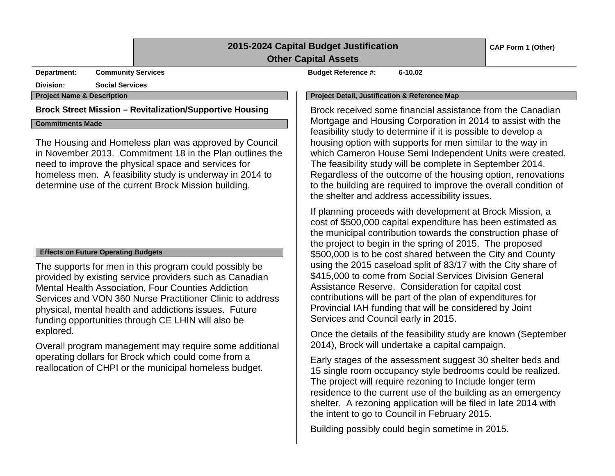### **2015-2024 Capital Budget Justification Other Capital Assets**

**Department: Community Services Budget Reference #: 6-10.02**

**Division: Social Services**

**Commitments Made**

The Housing and Homeless plan was approved by Council in November 2013. Commitment 18 in the Plan outlines the need to improve the physical space and services for homeless men. A feasibility study is underway in 2014 to determine use of the current Brock Mission building.

#### **Effects on Future Operating Budgets**

The supports for men in this program could possibly be provided by existing service providers such as Canadian Mental Health Association, Four Counties Addiction Services and VON 360 Nurse Practitioner Clinic to address physical, mental health and addictions issues. Future funding opportunities through CE LHIN will also be explored.

Overall program management may require some additional operating dollars for Brock which could come from a reallocation of CHPI or the municipal homeless budget.

#### **Project Name & Description Project Detail, Justification & Reference Map**

**Brock Street Mission – Revitalization/Supportive Housing** Brock received some financial assistance from the Canadian Mortgage and Housing Corporation in 2014 to assist with the feasibility study to determine if it is possible to develop a housing option with supports for men similar to the way in which Cameron House Semi Independent Units were created. The feasibility study will be complete in September 2014. Regardless of the outcome of the housing option, renovations to the building are required to improve the overall condition of the shelter and address accessibility issues.

> If planning proceeds with development at Brock Mission, a cost of \$500,000 capital expenditure has been estimated as the municipal contribution towards the construction phase of the project to begin in the spring of 2015. The proposed \$500,000 is to be cost shared between the City and County using the 2015 caseload split of 83/17 with the City share of \$415,000 to come from Social Services Division General Assistance Reserve. Consideration for capital cost contributions will be part of the plan of expenditures for Provincial IAH funding that will be considered by Joint Services and Council early in 2015.

Once the details of the feasibility study are known (September 2014), Brock will undertake a capital campaign.

Early stages of the assessment suggest 30 shelter beds and 15 single room occupancy style bedrooms could be realized. The project will require rezoning to Include longer term residence to the current use of the building as an emergency shelter. A rezoning application will be filed in late 2014 with the intent to go to Council in February 2015.

Building possibly could begin sometime in 2015.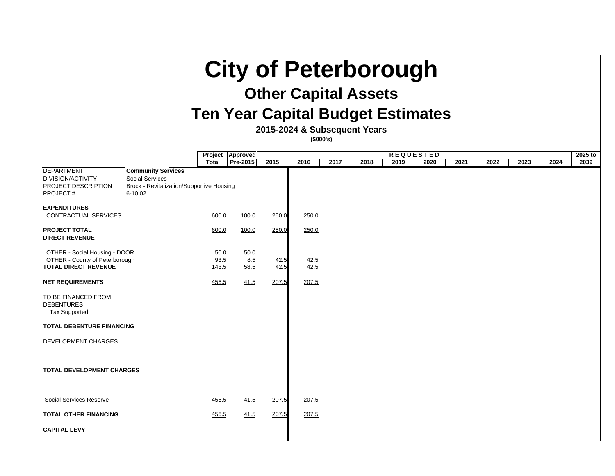# **City of Peterborough**

# **Other Capital Assets**

# **Ten Year Capital Budget Estimate**

**2015-2024 & Subsequent Years**

**(\$000's)**

|                                                                                                              |                                                                                                                    |                       | Project   Approved  | <b>REQUESTED</b> |              |      |      |      |      | 2025 to |      |      |      |      |
|--------------------------------------------------------------------------------------------------------------|--------------------------------------------------------------------------------------------------------------------|-----------------------|---------------------|------------------|--------------|------|------|------|------|---------|------|------|------|------|
|                                                                                                              |                                                                                                                    | <b>Total</b>          | <b>Pre-2015</b>     | 2015             | 2016         | 2017 | 2018 | 2019 | 2020 | 2021    | 2022 | 2023 | 2024 | 2039 |
| <b>DEPARTMENT</b><br><b>DIVISION/ACTIVITY</b><br><b>PROJECT DESCRIPTION</b><br><b>PROJECT#</b>               | <b>Community Services</b><br><b>Social Services</b><br><b>Brock - Revitalization/Supportive Housing</b><br>6-10.02 |                       |                     |                  |              |      |      |      |      |         |      |      |      |      |
| <b>EXPENDITURES</b>                                                                                          |                                                                                                                    |                       |                     |                  |              |      |      |      |      |         |      |      |      |      |
| <b>CONTRACTUAL SERVICES</b>                                                                                  |                                                                                                                    | 600.0                 | 100.0               | 250.0            | 250.0        |      |      |      |      |         |      |      |      |      |
| <b>PROJECT TOTAL</b><br><b>DIRECT REVENUE</b>                                                                |                                                                                                                    | 600.0                 | 100.0               | 250.0            | <u>250.0</u> |      |      |      |      |         |      |      |      |      |
| <b>OTHER - Social Housing - DOOR</b><br><b>OTHER - County of Peterborough</b><br><b>TOTAL DIRECT REVENUE</b> |                                                                                                                    | 50.0<br>93.5<br>143.5 | 50.0<br>8.5<br>58.5 | 42.5<br>42.5     | 42.5<br>42.5 |      |      |      |      |         |      |      |      |      |
| <b>NET REQUIREMENTS</b>                                                                                      |                                                                                                                    | 456.5                 | 41.5                | 207.5            | 207.5        |      |      |      |      |         |      |      |      |      |
| TO BE FINANCED FROM:<br><b>DEBENTURES</b><br><b>Tax Supported</b>                                            |                                                                                                                    |                       |                     |                  |              |      |      |      |      |         |      |      |      |      |
| <b>TOTAL DEBENTURE FINANCING</b>                                                                             |                                                                                                                    |                       |                     |                  |              |      |      |      |      |         |      |      |      |      |
| <b>DEVELOPMENT CHARGES</b>                                                                                   |                                                                                                                    |                       |                     |                  |              |      |      |      |      |         |      |      |      |      |
| <b>TOTAL DEVELOPMENT CHARGES</b>                                                                             |                                                                                                                    |                       |                     |                  |              |      |      |      |      |         |      |      |      |      |
| Social Services Reserve                                                                                      |                                                                                                                    | 456.5                 | 41.5                | 207.5            | 207.5        |      |      |      |      |         |      |      |      |      |
| <b>TOTAL OTHER FINANCING</b>                                                                                 |                                                                                                                    | <u>456.5</u>          | 41.5                | 207.5            | 207.5        |      |      |      |      |         |      |      |      |      |
| <b>CAPITAL LEVY</b>                                                                                          |                                                                                                                    |                       |                     |                  |              |      |      |      |      |         |      |      |      |      |

| ЭS |  |  |
|----|--|--|
|    |  |  |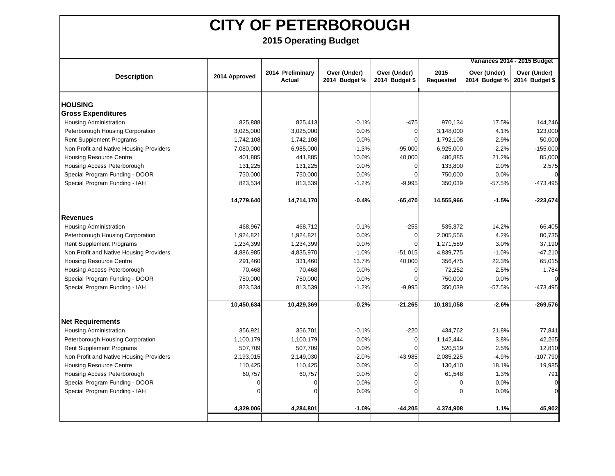|                                         |                |                            |                               |                                |                          |                               | Variances 2014 - 2015 Budget   |
|-----------------------------------------|----------------|----------------------------|-------------------------------|--------------------------------|--------------------------|-------------------------------|--------------------------------|
| <b>Description</b>                      | 2014 Approved  | 2014 Preliminary<br>Actual | Over (Under)<br>2014 Budget % | Over (Under)<br>2014 Budget \$ | 2015<br><b>Requested</b> | Over (Under)<br>2014 Budget % | Over (Under)<br>2014 Budget \$ |
| <b>HOUSING</b>                          |                |                            |                               |                                |                          |                               |                                |
| <b>Gross Expenditures</b>               |                |                            |                               |                                |                          |                               |                                |
| <b>Housing Administration</b>           | 825,888        | 825,413                    | $-0.1%$                       | $-475$                         | 970,134                  | 17.5%                         | 144,246                        |
| Peterborough Housing Corporation        | 3,025,000      | 3,025,000                  | 0.0%                          | 0                              | 3,148,000                | 4.1%                          | 123,000                        |
| <b>Rent Supplement Programs</b>         | 1,742,108      | 1,742,108                  | 0.0%                          | ∩                              | 1,792,108                | 2.9%                          | 50,000                         |
| Non Profit and Native Housing Providers | 7,080,000      | 6,985,000                  | $-1.3%$                       | $-95,000$                      | 6,925,000                | $-2.2%$                       | $-155,000$                     |
| <b>Housing Resource Centre</b>          | 401,885        | 441,885                    | 10.0%                         | 40,000                         | 486,885                  | 21.2%                         | 85,000                         |
| Housing Access Peterborough             | 131,225        | 131,225                    | 0.0%                          | ∩                              | 133,800                  | 2.0%                          | 2,575                          |
| Special Program Funding - DOOR          | 750,000        | 750,000                    | 0.0%                          | 0                              | 750,000                  | 0.0%                          |                                |
| Special Program Funding - IAH           | 823,534        | 813,539                    | $-1.2%$                       | $-9,995$                       | 350,039                  | $-57.5%$                      | -473,495                       |
|                                         | 14,779,640     | 14,714,170                 | $-0.4%$                       | $-65,470$                      | 14,555,966               | $-1.5%$                       | $-223,674$                     |
| <b>Revenues</b>                         |                |                            |                               |                                |                          |                               |                                |
| <b>Housing Administration</b>           | 468,967        | 468,712                    | $-0.1%$                       | $-255$                         | 535,372                  | 14.2%                         | 66,405                         |
| Peterborough Housing Corporation        | 1,924,821      | 1,924,821                  | 0.0%                          | 0                              | 2,005,556                | 4.2%                          | 80,735                         |
| <b>Rent Supplement Programs</b>         | 1,234,399      | 1,234,399                  | 0.0%                          | O                              | 1,271,589                | 3.0%                          | 37,190                         |
| Non Profit and Native Housing Providers | 4,886,985      | 4,835,970                  | $-1.0%$                       | $-51,015$                      | 4,839,775                | $-1.0%$                       | $-47,210$                      |
| <b>Housing Resource Centre</b>          | 291,460        | 331,460                    | 13.7%                         | 40,000                         | 356,475                  | 22.3%                         | 65,015                         |
| Housing Access Peterborough             | 70,468         | 70,468                     | 0.0%                          | 0                              | 72,252                   | 2.5%                          | 1,784                          |
| Special Program Funding - DOOR          | 750,000        | 750,000                    | 0.0%                          | 0                              | 750,000                  | 0.0%                          |                                |
| Special Program Funding - IAH           | 823,534        | 813,539                    | $-1.2%$                       | $-9,995$                       | 350,039                  | $-57.5%$                      | $-473,495$                     |
|                                         | 10,450,634     | 10,429,369                 | $-0.2%$                       | $-21,265$                      | 10,181,058               | $-2.6%$                       | $-269,576$                     |
| <b>Net Requirements</b>                 |                |                            |                               |                                |                          |                               |                                |
| <b>Housing Administration</b>           | 356,921        | 356,701                    | $-0.1%$                       | $-220$                         | 434,762                  | 21.8%                         | 77,841                         |
| Peterborough Housing Corporation        | 1,100,179      | 1,100,179                  | 0.0%                          | 0                              | 1,142,444                | 3.8%                          | 42,265                         |
| <b>Rent Supplement Programs</b>         | 507,709        | 507,709                    | 0.0%                          | $\Omega$                       | 520,519                  | 2.5%                          | 12,810                         |
| Non Profit and Native Housing Providers | 2,193,015      | 2,149,030                  | $-2.0%$                       | $-43,985$                      | 2,085,225                | $-4.9%$                       | $-107,790$                     |
| <b>Housing Resource Centre</b>          | 110,425        | 110,425                    | 0.0%                          | $\Omega$                       | 130,410                  | 18.1%                         | 19,985                         |
| Housing Access Peterborough             | 60,757         | 60,757                     | 0.0%                          | 0                              | 61,548                   | 1.3%                          | 791                            |
| Special Program Funding - DOOR          | $\overline{0}$ | $\overline{0}$             | 0.0%                          | ∩                              | 0                        | 0.0%                          | $\mathbf 0$                    |
| Special Program Funding - IAH           | $\Omega$       | $\Omega$                   | 0.0%                          |                                | $\Omega$                 | 0.0%                          |                                |
|                                         | 4,329,006      | 4,284,801                  | $-1.0%$                       | $-44,205$                      | 4,374,908                | 1.1%                          | 45,902                         |
|                                         |                |                            |                               |                                |                          |                               |                                |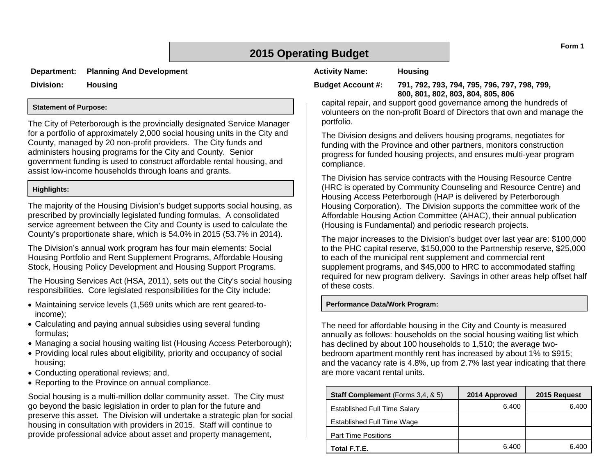## **2015 Operating Budget**

**Department: Planning And Development**

**Division: Housing**

#### **Statement of Purpose:**

The City of Peterborough is the provincially designated Service Manager for a portfolio of approximately 2,000 social housing units in the City and County, managed by 20 non-profit providers. The City funds and administers housing programs for the City and County. Senior government funding is used to construct affordable rental housing, and assist low-income households through loans and grants.

#### **Highlights:**

The majority of the Housing Division's budget supports social housing, as prescribed by provincially legislated funding formulas. A consolidated service agreement between the City and County is used to calculate the County's proportionate share, which is 54.0% in 2015 (53.7% in 2014).

The Division's annual work program has four main elements: Social Housing Portfolio and Rent Supplement Programs, Affordable Housing Stock, Housing Policy Development and Housing Support Programs.

The Housing Services Act (HSA, 2011), sets out the City's social housing responsibilities. Core legislated responsibilities for the City include:

- Maintaining service levels (1,569 units which are rent geared-toincome);
- Calculating and paying annual subsidies using several funding formulas;
- Managing a social housing waiting list (Housing Access Peterborough);
- Providing local rules about eligibility, priority and occupancy of social housing;
- Conducting operational reviews; and,
- Reporting to the Province on annual compliance.

Social housing is a multi-million dollar community asset. The City must go beyond the basic legislation in order to plan for the future and preserve this asset. The Division will undertake a strategic plan for social housing in consultation with providers in 2015. Staff will continue to provide professional advice about asset and property management,

#### **Activity Name: Housing**

**Budget Account #: 791, 792, 793, 794, 795, 796, 797, 798, 799, 800, 801, 802, 803, 804, 805, 806**

capital repair, and support good governance among the hundreds of volunteers on the non-profit Board of Directors that own and manage the portfolio.

The Division designs and delivers housing programs, negotiates for funding with the Province and other partners, monitors construction progress for funded housing projects, and ensures multi-year program compliance.

The Division has service contracts with the Housing Resource Centre (HRC is operated by Community Counseling and Resource Centre) and Housing Access Peterborough (HAP is delivered by Peterborough Housing Corporation). The Division supports the committee work of the Affordable Housing Action Committee (AHAC), their annual publication (Housing is Fundamental) and periodic research projects.

The major increases to the Division's budget over last year are: \$100,000 to the PHC capital reserve, \$150,000 to the Partnership reserve, \$25,000 to each of the municipal rent supplement and commercial rent supplement programs, and \$45,000 to HRC to accommodated staffing required for new program delivery. Savings in other areas help offset half of these costs.

#### **Performance Data/Work Program:**

The need for affordable housing in the City and County is measured annually as follows: households on the social housing waiting list which has declined by about 100 households to 1,510; the average twobedroom apartment monthly rent has increased by about 1% to \$915; and the vacancy rate is 4.8%, up from 2.7% last year indicating that there are more vacant rental units.

| <b>Staff Complement</b> (Forms 3,4, & 5) | 2014 Approved | 2015 Request |
|------------------------------------------|---------------|--------------|
| <b>Established Full Time Salary</b>      | 6.400         | 6.400        |
| Established Full Time Wage               |               |              |
| <b>Part Time Positions</b>               |               |              |
| Total F.T.E.                             | 6.400         | 6.400        |

**Form 1**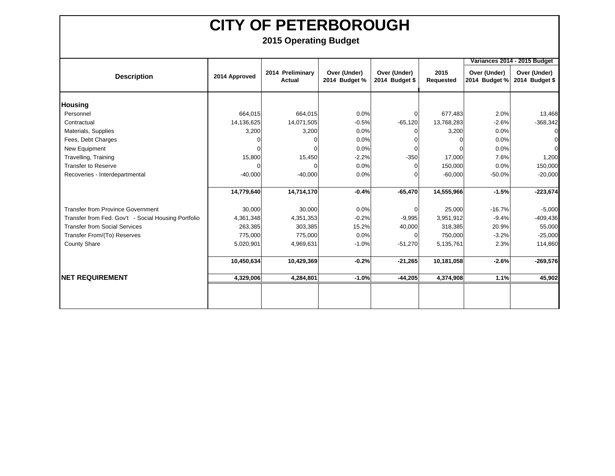|                                                     |               |                            |                               |                                |                   | Variances 2014 - 2015 Budget  |                                |  |  |
|-----------------------------------------------------|---------------|----------------------------|-------------------------------|--------------------------------|-------------------|-------------------------------|--------------------------------|--|--|
| <b>Description</b>                                  | 2014 Approved | 2014 Preliminary<br>Actual | Over (Under)<br>2014 Budget % | Over (Under)<br>2014 Budget \$ | 2015<br>Requested | Over (Under)<br>2014 Budget % | Over (Under)<br>2014 Budget \$ |  |  |
| <b>Housing</b>                                      |               |                            |                               |                                |                   |                               |                                |  |  |
| Personnel                                           | 664,015       | 664,015                    | 0.0%                          | 0                              | 677,483           | 2.0%                          | 13,468                         |  |  |
| Contractual                                         | 14,136,625    | 14,071,505                 | $-0.5%$                       | $-65,120$                      | 13,768,283        | $-2.6%$                       | $-368,342$                     |  |  |
| Materials, Supplies                                 | 3,200         | 3,200                      | 0.0%                          | 0                              | 3,200             | 0.0%                          |                                |  |  |
| Fees, Debt Charges                                  |               |                            | 0.0%                          |                                | o                 | 0.0%                          |                                |  |  |
| New Equipment                                       |               |                            | 0.0%                          | $\Omega$                       |                   | 0.0%                          |                                |  |  |
| Travelling, Training                                | 15,800        | 15,450                     | $-2.2%$                       | $-350$                         | 17,000            | 7.6%                          | 1,200                          |  |  |
| <b>Transfer to Reserve</b>                          |               | $\Omega$                   | 0.0%                          | $\Omega$                       | 150,000           | 0.0%                          | 150,000                        |  |  |
| Recoveries - Interdepartmental                      | $-40,000$     | $-40,000$                  | 0.0%                          | ∩                              | $-60,000$         | $-50.0%$                      | $-20,000$                      |  |  |
|                                                     |               |                            |                               |                                |                   |                               |                                |  |  |
|                                                     | 14,779,640    | 14,714,170                 | $-0.4%$                       | $-65,470$                      | 14,555,966        | $-1.5%$                       | $-223,674$                     |  |  |
| <b>Transfer from Province Government</b>            | 30,000        | 30,000                     | 0.0%                          | $\Omega$                       | 25,000            | $-16.7%$                      | $-5,000$                       |  |  |
| Transfer from Fed. Gov't - Social Housing Portfolio | 4,361,348     | 4,351,353                  | $-0.2%$                       | $-9,995$                       | 3,951,912         | $-9.4%$                       | $-409,436$                     |  |  |
| <b>Transfer from Social Services</b>                | 263,385       | 303,385                    | 15.2%                         | 40,000                         | 318,385           | 20.9%                         | 55,000                         |  |  |
| Transfer From/(To) Reserves                         | 775,000       | 775,000                    | 0.0%                          | $\Omega$                       | 750,000           | $-3.2%$                       | $-25,000$                      |  |  |
| <b>County Share</b>                                 | 5,020,901     | 4,969,631                  | $-1.0%$                       | $-51,270$                      | 5,135,761         | 2.3%                          | 114,860                        |  |  |
|                                                     |               |                            |                               |                                |                   |                               |                                |  |  |
|                                                     | 10,450,634    | 10,429,369                 | $-0.2%$                       | $-21,265$                      | 10,181,058        | $-2.6%$                       | $-269,576$                     |  |  |
| <b>INET REQUIREMENT</b>                             | 4,329,006     | 4,284,801                  | $-1.0%$                       | $-44,205$                      | 4,374,908         | 1.1%                          | 45,902                         |  |  |
|                                                     |               |                            |                               |                                |                   |                               |                                |  |  |
|                                                     |               |                            |                               |                                |                   |                               |                                |  |  |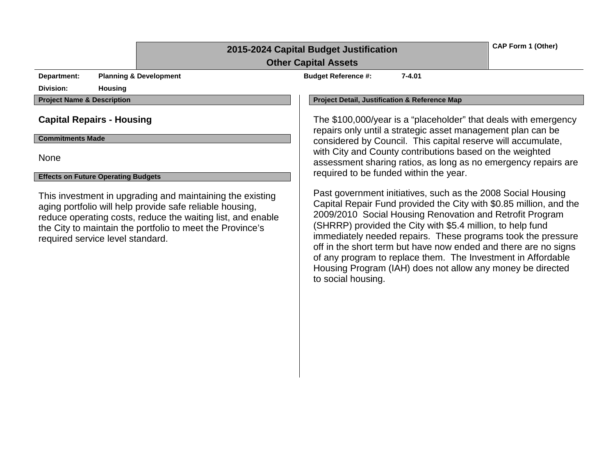| 2015-2024 Capital Budget Justification |  |  |
|----------------------------------------|--|--|
|----------------------------------------|--|--|

**CAP Form 1 (Other)**

#### **Other Capital Assets**

**Department: Planning & Development Budget Reference #:** 7-4.01

**Division: Housing**

**Commitments Made**

None

#### **Effects on Future Operating Budgets**

This investment in upgrading and maintaining the existing aging portfolio will help provide safe reliable housing, reduce operating costs, reduce the waiting list, and enable the City to maintain the portfolio to meet the Province's required service level standard.

**Project Name & Description Project Detail, Justification & Reference Map**

**Capital Repairs - Housing The \$100,000/year is a "placeholder" that deals with emergency Capital Repairs - Housing** repairs only until a strategic asset management plan can be considered by Council. This capital reserve will accumulate, with City and County contributions based on the weighted assessment sharing ratios, as long as no emergency repairs are required to be funded within the year.

> Past government initiatives, such as the 2008 Social Housing Capital Repair Fund provided the City with \$0.85 million, and the 2009/2010 Social Housing Renovation and Retrofit Program (SHRRP) provided the City with \$5.4 million, to help fund immediately needed repairs. These programs took the pressure off in the short term but have now ended and there are no signs of any program to replace them. The Investment in Affordable Housing Program (IAH) does not allow any money be directed to social housing.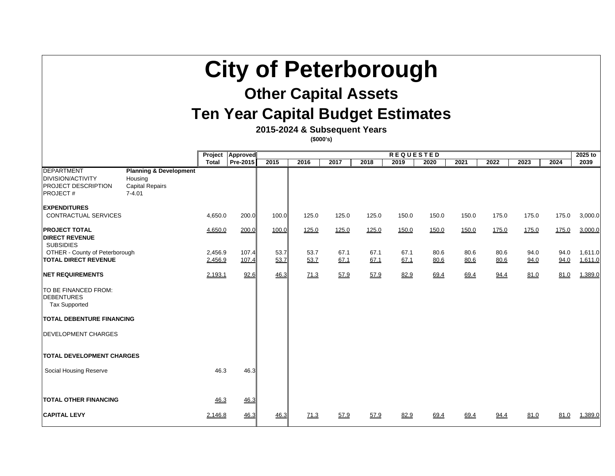# **City of Peterborough**

# **Other Capital Assets**

# **Ten Year Capital Budget Estimates**

**2015-2024 & Subsequent Years**

**(\$000's)**

|                                                                                                |                                                                                      |                    |                 |              | $\mathbf{v}$ |              |              |              |              |              |              |                     |              |                    |
|------------------------------------------------------------------------------------------------|--------------------------------------------------------------------------------------|--------------------|-----------------|--------------|--------------|--------------|--------------|--------------|--------------|--------------|--------------|---------------------|--------------|--------------------|
|                                                                                                |                                                                                      | Project            | Approved        |              |              |              | 2025 to      |              |              |              |              |                     |              |                    |
|                                                                                                |                                                                                      | <b>Total</b>       | <b>Pre-2015</b> | 2015         | 2016         | 2017         | 2018         | 2019         | 2020         | 2021         | 2022         | 2023                | 2024         | 2039               |
| <b>DEPARTMENT</b><br><b>DIVISION/ACTIVITY</b><br><b>PROJECT DESCRIPTION</b><br><b>PROJECT#</b> | <b>Planning &amp; Development</b><br>Housing<br><b>Capital Repairs</b><br>$7 - 4.01$ |                    |                 |              |              |              |              |              |              |              |              |                     |              |                    |
| <b>EXPENDITURES</b><br>CONTRACTUAL SERVICES                                                    |                                                                                      | 4,650.0            | 200.0           | 100.0        | 125.0        | 125.0        | 125.0        | 150.0        | 150.0        | 150.0        | 175.0        | 175.0               | 175.0        | 3,000.0            |
| <b>PROJECT TOTAL</b><br><b>DIRECT REVENUE</b>                                                  |                                                                                      | 4,650.0            | 200.0           | 100.0        | <u>125.0</u> | 125.0        | <u>125.0</u> | <u>150.0</u> | <u>150.0</u> | <u>150.0</u> | <u>175.0</u> | <u>175.0</u>        | <u>175.0</u> | 3,000.0            |
| <b>SUBSIDIES</b><br><b>OTHER - County of Peterborough</b><br><b>TOTAL DIRECT REVENUE</b>       |                                                                                      | 2,456.9<br>2,456.9 | 107.4<br>107.4  | 53.7<br>53.7 | 53.7<br>53.7 | 67.1<br>67.1 | 67.1<br>67.1 | 67.1<br>67.1 | 80.6<br>80.6 | 80.6<br>80.6 | 80.6<br>80.6 | 94.0<br><u>94.0</u> | 94.0<br>94.0 | 1,611.0<br>1,611.0 |
| <b>NET REQUIREMENTS</b>                                                                        |                                                                                      | 2,193.1            | 92.6            | 46.3         | 71.3         | 57.9         | 57.9         | <u>82.9</u>  | 69.4         | <u>69.4</u>  | <u>94.4</u>  | <u>81.0</u>         | 81.0         | 1,389.0            |
| <b>TO BE FINANCED FROM:</b><br><b>DEBENTURES</b><br><b>Tax Supported</b>                       |                                                                                      |                    |                 |              |              |              |              |              |              |              |              |                     |              |                    |
| <b>TOTAL DEBENTURE FINANCING</b>                                                               |                                                                                      |                    |                 |              |              |              |              |              |              |              |              |                     |              |                    |
| <b>DEVELOPMENT CHARGES</b>                                                                     |                                                                                      |                    |                 |              |              |              |              |              |              |              |              |                     |              |                    |
| <b>TOTAL DEVELOPMENT CHARGES</b>                                                               |                                                                                      |                    |                 |              |              |              |              |              |              |              |              |                     |              |                    |
| <b>Social Housing Reserve</b>                                                                  |                                                                                      | 46.3               | 46.3            |              |              |              |              |              |              |              |              |                     |              |                    |
| <b>TOTAL OTHER FINANCING</b>                                                                   |                                                                                      | 46.3               | 46.3            |              |              |              |              |              |              |              |              |                     |              |                    |
| <b>CAPITAL LEVY</b>                                                                            |                                                                                      | 2,146.8            | 46.3            | 46.3         | 71.3         | <u>57.9</u>  | <u>57.9</u>  | <u>82.9</u>  | 69.4         | 69.4         | <u>94.4</u>  | <u>81.0</u>         | <u>81.0</u>  | 1,389.0            |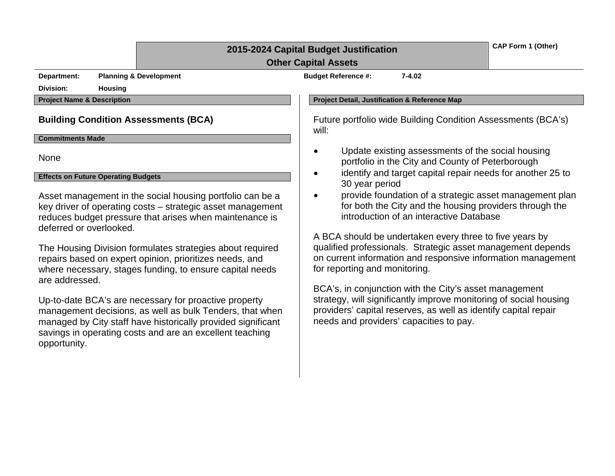## **2015-2024 Capital Budget Justification**

**CAP Form 1 (Other)**

### **Other Capital Assets**

**Department: Planning & Development Budget Reference #: 7-4.02**

**Division: Housing**

#### **Commitments Made**

None

#### **Effects on Future Operating Budgets**

Asset management in the social housing portfolio can be a key driver of operating costs – strategic asset management reduces budget pressure that arises when maintenance is deferred or overlooked.

The Housing Division formulates strategies about required repairs based on expert opinion, prioritizes needs, and where necessary, stages funding, to ensure capital needs are addressed.

Up-to-date BCA's are necessary for proactive property management decisions, as well as bulk Tenders, that when managed by City staff have historically provided significant savings in operating costs and are an excellent teaching opportunity.

#### **Project Name & Description Project Detail, Justification & Reference Map**

**Building Condition Assessments (BCA)** Future portfolio wide Building Condition Assessments (BCA's) will:

- Update existing assessments of the social housing portfolio in the City and County of Peterborough
- identify and target capital repair needs for another 25 to 30 year period
- provide foundation of a strategic asset management plan for both the City and the housing providers through the introduction of an interactive Database

A BCA should be undertaken every three to five years by qualified professionals. Strategic asset management depends on current information and responsive information management for reporting and monitoring.

BCA's, in conjunction with the City's asset management strategy, will significantly improve monitoring of social housing providers' capital reserves, as well as identify capital repair needs and providers' capacities to pay.